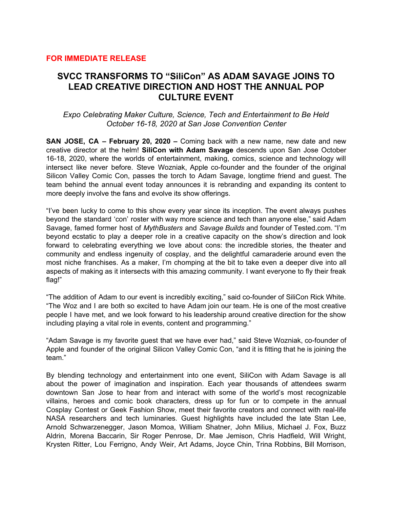## **FOR IMMEDIATE RELEASE**

## **SVCC TRANSFORMS TO "SiliCon" AS ADAM SAVAGE JOINS TO LEAD CREATIVE DIRECTION AND HOST THE ANNUAL POP CULTURE EVENT**

*Expo Celebrating Maker Culture, Science, Tech and Entertainment to Be Held October 16-18, 2020 at San Jose Convention Center*

**SAN JOSE, CA – February 20, 2020 –** Coming back with a new name, new date and new creative director at the helm! **SiliCon with Adam Savage** descends upon San Jose October 16-18, 2020, where the worlds of entertainment, making, comics, science and technology will intersect like never before. Steve Wozniak, Apple co-founder and the founder of the original Silicon Valley Comic Con, passes the torch to Adam Savage, longtime friend and guest. The team behind the annual event today announces it is rebranding and expanding its content to more deeply involve the fans and evolve its show offerings.

"I've been lucky to come to this show every year since its inception. The event always pushes beyond the standard 'con' roster with way more science and tech than anyone else," said Adam Savage, famed former host of *MythBusters* and *Savage Builds* and founder of Tested.com. "I'm beyond ecstatic to play a deeper role in a creative capacity on the show's direction and look forward to celebrating everything we love about cons: the incredible stories, the theater and community and endless ingenuity of cosplay, and the delightful camaraderie around even the most niche franchises. As a maker, I'm chomping at the bit to take even a deeper dive into all aspects of making as it intersects with this amazing community. I want everyone to fly their freak flag!"

"The addition of Adam to our event is incredibly exciting," said co-founder of SiliCon Rick White. "The Woz and I are both so excited to have Adam join our team. He is one of the most creative people I have met, and we look forward to his leadership around creative direction for the show including playing a vital role in events, content and programming."

"Adam Savage is my favorite guest that we have ever had," said Steve Wozniak, co-founder of Apple and founder of the original Silicon Valley Comic Con, "and it is fitting that he is joining the team."

By blending technology and entertainment into one event, SiliCon with Adam Savage is all about the power of imagination and inspiration. Each year thousands of attendees swarm downtown San Jose to hear from and interact with some of the world's most recognizable villains, heroes and comic book characters, dress up for fun or to compete in the annual Cosplay Contest or Geek Fashion Show, meet their favorite creators and connect with real-life NASA researchers and tech luminaries. Guest highlights have included the late Stan Lee, Arnold Schwarzenegger, Jason Momoa, William Shatner, John Milius, Michael J. Fox, Buzz Aldrin, Morena Baccarin, Sir Roger Penrose, Dr. Mae Jemison, Chris Hadfield, Will Wright, Krysten Ritter, Lou Ferrigno, Andy Weir, Art Adams, Joyce Chin, Trina Robbins, Bill Morrison,